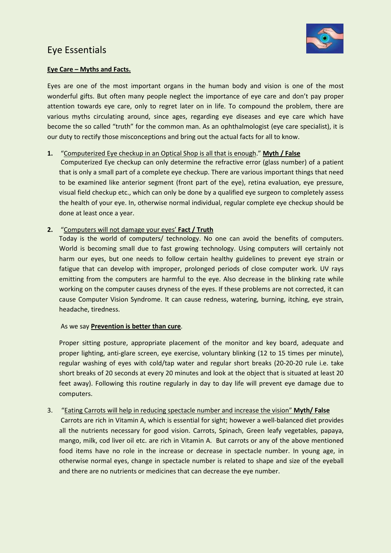## Eye Essentials



### **Eye Care – Myths and Facts.**

Eyes are one of the most important organs in the human body and vision is one of the most wonderful gifts. But often many people neglect the importance of eye care and don't pay proper attention towards eye care, only to regret later on in life. To compound the problem, there are various myths circulating around, since ages, regarding eye diseases and eye care which have become the so called "truth" for the common man. As an ophthalmologist (eye care specialist), it is our duty to rectify those misconceptions and bring out the actual facts for all to know.

### **1.** "Computerized Eye checkup in an Optical Shop is all that is enough." **Myth / False**

Computerized Eye checkup can only determine the refractive error (glass number) of a patient that is only a small part of a complete eye checkup. There are various important things that need to be examined like anterior segment (front part of the eye), retina evaluation, eye pressure, visual field checkup etc., which can only be done by a qualified eye surgeon to completely assess the health of your eye. In, otherwise normal individual, regular complete eye checkup should be done at least once a year.

### **2.** "Computers will not damage your eyes' **Fact / Truth**

Today is the world of computers/ technology. No one can avoid the benefits of computers. World is becoming small due to fast growing technology. Using computers will certainly not harm our eyes, but one needs to follow certain healthy guidelines to prevent eye strain or fatigue that can develop with improper, prolonged periods of close computer work. UV rays emitting from the computers are harmful to the eye. Also decrease in the blinking rate while working on the computer causes dryness of the eyes. If these problems are not corrected, it can cause Computer Vision Syndrome. It can cause redness, watering, burning, itching, eye strain, headache, tiredness.

### As we say **Prevention is better than cure**.

Proper sitting posture, appropriate placement of the monitor and key board, adequate and proper lighting, anti-glare screen, eye exercise, voluntary blinking (12 to 15 times per minute), regular washing of eyes with cold/tap water and regular short breaks (20-20-20 rule i.e. take short breaks of 20 seconds at every 20 minutes and look at the object that is situated at least 20 feet away). Following this routine regularly in day to day life will prevent eye damage due to computers.

### 3. "Eating Carrots will help in reducing spectacle number and increase the vision" **Myth/ False**

Carrots are rich in Vitamin A, which is essential for sight; however a well-balanced diet provides all the nutrients necessary for good vision. Carrots, Spinach, Green leafy vegetables, papaya, mango, milk, cod liver oil etc. are rich in Vitamin A. But carrots or any of the above mentioned food items have no role in the increase or decrease in spectacle number. In young age, in otherwise normal eyes, change in spectacle number is related to shape and size of the eyeball and there are no nutrients or medicines that can decrease the eye number.